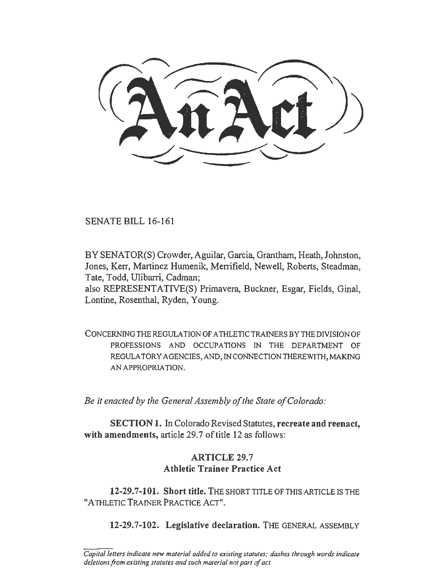SENATE BILL 16-161

BY SENATOR(S) Crowder, Aguilar, Garcia, Grantham, Heath, Johnston, Jones, Kerr, Martinez Humenik, Merrifield, Newell, Roberts, Steadman, Tate, Todd, Ulibarri, Cadman;

also REPRESENTATIVE(S) Primavera, Buckner, Esgar, Fields, Ginal, Lontine, Rosenthal, Ryden, Young.

CONCERNING THE REGULATION OF ATHLETIC TRAINERS BY THE DIVISION OF PROFESSIONS AND OCCUPATIONS IN THE DEPARTMENT OF REGULA TORY AGENCIES, AND, IN CONNECTION THEREWITH, MAKING AN APPROPRIATION.

*Be it enacted by the General Assembly of the State of Colorado:* 

SECTION 1. In Colorado Revised Statutes, recreate and reenact, with amendments, article 29.7 of title 12 as follows:

## ARTICLE 29.7 Athletic Trainer Practice Act

12-29.7-101. Short title. THE SHORT TITLE OF THIS ARTICLE IS THE "A THLETIC TRAINER PRACTICE ACT".

12-29.7-102. Legislative declaration. THE GENERAL ASSEMBLY

*Capital letters indicate new material added to existing statutes; dashes through words indicate deletions from existing statutes and such material not part of act.*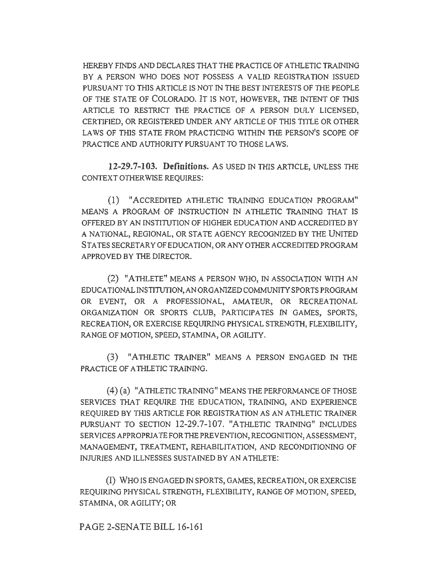HEREBY FINDS AND DECLARES THAT THE PRACTICE OF ATHLETIC TRAINING BY A PERSON WHO DOES NOT POSSESS A VALID REGISTRATION ISSUED PURSUANT TO THIS ARTICLE IS NOT IN THE BEST INTERESTS OF THE PEOPLE OF THE STATE OF COLORADO. IT IS NOT, HOWEVER, THE INTENT OF THIS ARTICLE TO RESTRICT THE PRACTICE OF A PERSON DULY LICENSED, CERTIFIED, OR REGISTERED UNDER ANY ARTICLE OF TH1S TITLE OR OTHER LAWS OF THIS STATE FROM PRACTICING WITHIN THE PERSON'S SCOPE OF PRACTICE AND AUTHORITY PURSUANT TO THOSE LAWS.

**12-29.7-103. Definitions.** As USED IN THIS ARTICLE, UNLESS THE CONTEXT OTHERWISE REQUIRES:

(1) "ACCREDITED ATHLETIC TRAINING EDUCATION PROGRAM" MEANS A PROGRAM OF INSTRUCTION IN ATHLETIC TRAINING THAT IS OFFERED BY AN INSTITUTION OF HIGHER EDUCATION AND ACCREDITED BY A NATIONAL, REGIONAL, OR STATE AGENCY RECOGNIZED BY THE UNITED STATES SECRETARY OF EDUCATION, OR ANY OTHER ACCREDITED PROGRAM APPROVED BY THE DIRECTOR.

(2) "ATHLETE" MEANS A PERSON WHO, IN ASSOCIATION WITH AN EDUCATIONAL INSTITUTION, AN ORGANIZED COMMUNITY SPORTS PROGRAM OR EVENT, OR A PROFESSIONAL, AMATEUR, OR RECREATIONAL ORGANIZATION OR SPORTS CLUB, PARTICIPATES IN GAMES, SPORTS, RECREATION, OR EXERCISE REQUIRING PHYSICAL STRENGTH, FLEXIBILITY, RANGE OF MOTION, SPEED, STAMINA, OR AGILITY.

(3) "ATHLETIC TRAINER" MEANS A PERSON ENGAGED IN THE PRACTICE OF ATHLETIC TRAINING.

( 4) (a) "ATHLETIC TRAINING" MEANS THE PERFORMANCE OF THOSE SERVICES THAT REQUIRE THE EDUCATION, TRAINING, AND EXPERIENCE REQUIRED BY THIS ARTICLE FOR REGISTRATION AS AN ATHLETIC TRAINER PURSUANT TO SECTION 12-29.7-107. "ATHLETIC TRAINING" INCLUDES SERVICES APPROPRJA TE FOR THE PREVENTION, RECOGNITION, ASSESSMENT, MANAGEMENT, TREATMENT, REHABILITATION, AND RECONDITIONING OF INJURIES AND ILLNESSES SUSTAINED BY AN ATHLETE:

(I) WHO IS ENGAGED IN SPORTS, GAMES, RECREATION, OR EXERCISE REQUIRING PHYSICAL STRENGTH, FLEXIBILITY, RANGE OF MOTION, SPEED, STAMINA, OR AGILITY; OR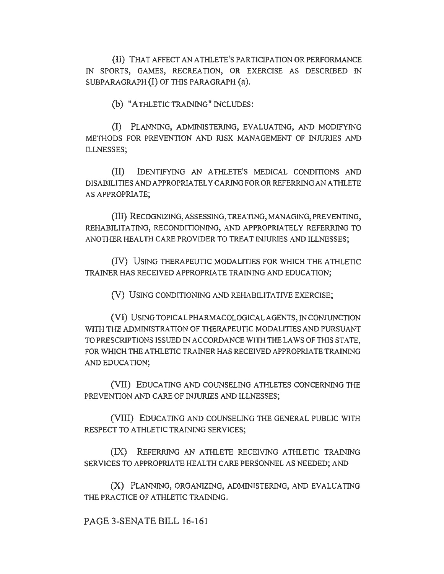(II) THAT AFFECT AN ATHLETE'S PARTICIPATION OR PERFORMANCE IN SPORTS, GAMES, RECREATION, OR EXERCISE AS DESCRIBED IN SUBPARAGRAPH (I) OF THIS PARAGRAPH (a).

(b) "ATHLETIC TRAINING" INCLUDES:

(!) PLANNING, ADMINISTERING, EVALUATING, AND MODIFYING METHODS FOR PREVENTION AND RISK MANAGEMENT OF INJURJES AND ILLNESSES;

(II) IDENTIFYING AN A THLETE<sup>1</sup> S MEDICAL CONDITIONS AND DISABILITIES AND APPROPRIATELY CARING FOR OR REFERRING AN ATHLETE AS APPROPRIATE;

(III) RECOGNIZING, ASSESSING, TREATING, MANAGING, PREVENTING, REHABILITATING, RECONDITIONING, AND APPROPRIATELY REFERRING TO ANOTHER HEALTH CARE PROVIDER TO TREAT INJURIES AND ILLNESSES;

(IV) USING THERAPEUTIC MODALITIES FOR WHICH THE ATHLETIC TRAINER HAS RECEIVED APPROPRIATE TRAINING AND EDUCATION;

(V) USING CONDITIONING AND REHABILITATIVE EXERCISE;

(VI) USING TOPICAL PHARMACOLOGICAL AGENTS, IN CONJUNCTION WITH THE ADMINISTRATION OF THERAPEUTIC MODALITIES AND PURSUANT TO PRESCRIPTIONS ISSUED IN ACCORDANCE WITH THE LAWS OF THIS STATE. FOR WHICH THE ATHLETIC TRAINER HAS RECEIVED APPROPRIATE TRAINING AND EDUCATION;

{VII) EDUCATING AND COUNSELING ATHLETES CONCERNING THE PREVENTION AND CARE OF INJURIES AND ILLNESSES;

(VIII) EDUCATING AND COUNSELING THE GENERAL PUBLIC WITH RESPECT TO ATHLETIC TRAINING SERVICES;

(IX) REFERRING AN ATHLETE RECEIVING ATHLETIC TRAINING SERVICES TO APPROPRIATE HEALTH CARE PERSONNEL AS NEEDED; AND

(X) PLANNING, ORGANIZING, ADMINISTERING, AND EVALUATING THE PRACTICE OF ATHLETIC TRAINING.

PAGE 3-SENATE BILL 16-161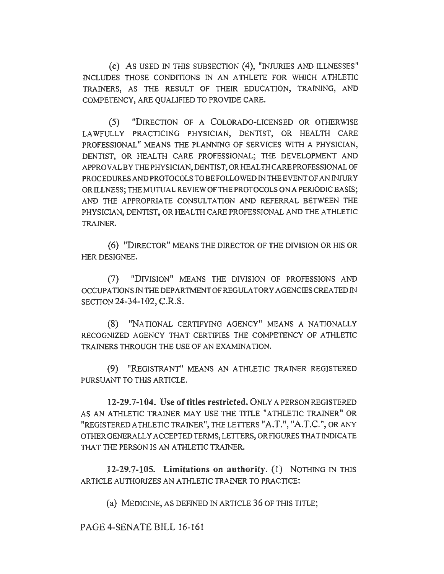(c) As USED IN THIS SUBSECTION (4), "INJURIES AND ILLNESSES" INCLUDES THOSE CONDITIONS IN AN ATHLETE FOR WHICH ATHLETIC TRAINERS, AS THE RESULT OF THEIR EDUCATION, TRAINING, AND COMPETENCY, ARE QUALIFIED TO PROVIDE CARE.

(5) "DIRECTION OF A COLORADO-LICENSED OR OTHERWISE LAWFULLY PRACTICING PHYSICIAN, DENTIST, OR HEALTH CARE PROFESSIONAL" MEANS THE PLANNING OF SERVICES WITH A PHYSICIAN, DENTIST, OR HEALTH CARE PROFESSIONAL; THE DEVELOPMENT AND APPROVALBYTHEPHYSICIAN,DENTIST,ORHEALTHCAREPROFESSIONALOF PROCEDURES AND PROTOCOLS TO BE FOLLOWED IN THE EVENT OF AN INJURY OR lLLNESS; THE MUTUAL REVIEW OF THE PROTOCOLS ON A PERIODIC BASIS; AND THE APPROPRIATE CONSULTATION AND REFERRAL BETWEEN THE PHYSICIAN, DENTIST, OR HEALTH CARE PROFESSIONAL AND THE ATHLETIC TRAINER.

(6) "DIRECTOR" MEANS THE DIRECTOR OF THE DIVISION OR HIS OR HER DESIGNEE.

(7) "DIVISION" MEANS THE DIVISION OF PROFESSIONS AND OCCUPATIONS IN THE DEPARTMENT OF REGULATORY AGENCIES CREA TED IN SECTION 24-34-102, C.R.S.

(8) "NATIONAL CERTIFYING AGENCY" MEANS A NATIONALLY RECOGNIZED AGENCY THAT CERTIFIES THE COMPETENCY OF ATHLETIC TRAINERS THROUGH THE USE OF AN EXAMINATION.

(9) "REGISTRANT" MEANS AN ATHLETIC TRAINER REGISTERED PURSUANT TO THJS ARTICLE.

12-29.7-104. Use of titles restricted. ONLY APERSONREGISTERED AS AN ATHLETIC TRAINER MAY USE THE TITLE "ATHLETIC TRAINER" OR "registered athletic trainer", the letters "A.T.", "A.T.C.", or any OTHER GENERALLY ACCEPTED TERMS, LETTERS, OR FIGURES THAT INDICATE THAT THE PERSON IS AN ATHLETIC TRAINER.

12-29.7-105. Limitations on authority. (1) NOTHING IN THIS ARTICLE AUTHORIZES AN ATHLETIC TRAINER TO PRACTICE:

(a) MEDICINE, AS DEFINED IN ARTICLE 36 OF THIS TITLE;

PAGE 4-SENATE BILL 16-161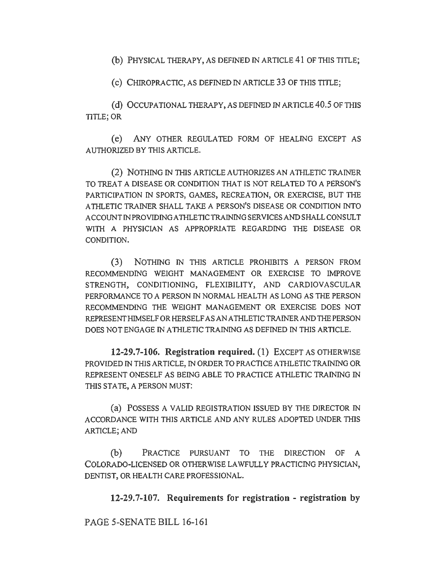(b) PHYSICAL THERAPY, AS DEFINED IN ARTICLE 41 OF THIS TITLE;

(c) CHIROPRACTIC, AS DEFINED IN ARTICLE 33 OF THIS TITLE;

(d) OCCUPATIONAL THERAPY, AS DEFINED IN ARTICLE 40.5 OF THIS TITLE; OR

(e) ANY OTHER REGULATED FORM OF HEALING EXCEPT AS AUTHORIZED BY THIS ARTICLE.

(2) NOTHING IN THJS ARTICLE AUTHORIZES AN ATHLETIC TRAINER TO TREAT A DISEASE OR CONDITION THAT IS NOT RELATED TO A PERSON'S PARTICIPATION IN SPORTS, GAMES, RECREATION, OR EXERCISE, BUT THE ATHLETIC TRAINER SHALL TAKE A PERSON'S DISEASE OR CONDITION INTO ACCOUNTINPROVIDINGATHLETICTRAININGSERVICESANDSHALLCONSULT WITH A PHYSICIAN AS APPROPRIATE REGARDING THE DISEASE OR CONDITION.

(3) NOTHING IN THJS ARTICLE PROHIBITS A PERSON FROM RECOMMENDING WEIGHT MANAGEMENT OR EXERCISE TO IMPROVE STRENGTH, CONDITIONING, FLEXIBILITY, AND CARDIOVASCULAR PERFORMANCE TO A PERSON IN NORMAL HEALTH AS LONG AS THE PERSON RECOMMENDING THE WEIGHT MANAGEMENT OR EXERCISE DOES NOT REPRESENT HIMSELF OR HERSELF AS AN ATHLETIC TRAINER AND THE PERSON DOES NOT ENGAGE IN ATHLETIC TRAINING AS DEFINED JN THIS ARTICLE.

**12-29.7-106. Registration required.** (1) EXCEPT AS OTHERWISE PROVIDED IN THIS ARTICLE, IN ORDER TO PRACTICE ATHLETIC TRAINING OR REPRESENT ONESELF AS BEING ABLE TO PRACTICE ATHLETIC TRAINING IN THIS STATE, A PERSON MUST:

(a) POSSESS A VALID REGISTRATION ISSUED BY THE DIRECTOR IN ACCORDANCE WITH THIS ARTICLE AND ANY RULES ADOPTED UNDER THIS ARTICLE; AND

(b) PRACTICE PURSUANT TO THE DIRECTION OF A COLORADO-LICENSED OR OTHERWISE LAWFULLY PRACTICING PHYSICIAN, DENTIST, OR HEALTH CARE PROFESSIONAL.

**12-29.7-107. Requirements for registration - registration by** 

PAGE 5-SENATE BILL 16-161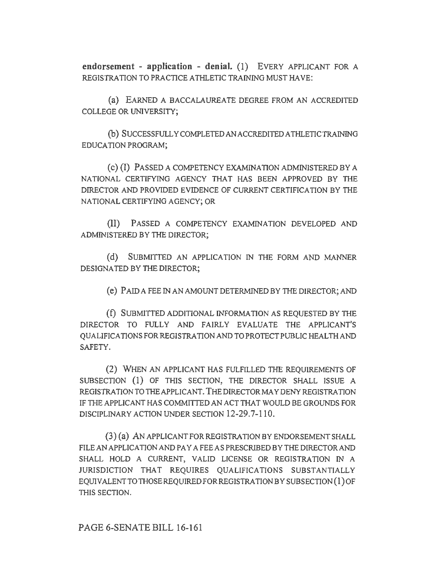**endorsement - application - denial.** (1) EVERY APPLICANT FOR A REGISTRATION TO PRACTICE ATHLETIC TRAINING MUST HA VE:

(a) EARNED A BACCALAUREATE DEGREE FROM AN ACCREDITED COLLEGE OR UNIVERSITY;

(b) SUCCESSFULLY COMPLETED AN ACCREDITED ATHLETIC TRAINING EDUCATION PROGRAM;

( c) (I) PASSED A COMPETENCY EXAMINATION ADMINISTERED BY A NATlONAL CERTIFYING AGENCY THAT HAS BEEN APPROVED BY THE DIRECTOR AND PROVIDED EVIDENCE OF CURRENT CERTIFICATION BY THE NATIONAL CERTIFYING AGENCY; OR

(II) PASSED A COMPETENCY EXAMINATION DEVELOPED AND ADMINISTERED BY THE DIRECTOR;

(d) SUBMITTED AN APPLICATION IN THE FORM AND MANNER DESIGNATED BY THE DIRECTOR;

( e) PAID A FEE IN AN AMOUNT DETERMINED BY THE DIRECTOR; AND

(f) SUBMITTED ADDITIONAL INFORMATION AS REQUESTED BY THE DIRECTOR TO FULLY AND FAIRLY EVALUATE THE APPLICANT'S QUALIFICATIONS FOR REGISTRATION AND TO PROTECT PUBLIC HEAL TH AND SAFETY.

(2) WHEN AN APPLICANT HAS FULFILLED THE REQUIREMENTS OF SUBSECTION (1) OF THIS SECTION, THE DIRECTOR SHALL ISSUE A REGISTRA TJON TO THE APPLICANT. THE DIRECTOR MAY DENY REGISTRATION IF THE APPLICANT HAS COMMITTED AN ACT THAT WOULD BE GROUNDS FOR DISCIPLINARY ACTION UNDER SECTION 12-29.7-110.

(3) (a) AN APPLICANT FOR REGISTRATION BY ENDORSEMENT SHALL FILE AN APPLICATION AND PAY A FEE AS PRESCRIBED BY THE DIRECTOR AND SHALL HOLD A CURRENT, VALID LICENSE OR REGISTRATION IN A JURISDICTION THAT REQUIRES QUALIFICATIONS SUBSTANTIALLY EQUIVALENT TO THOSE REQUIRED FOR REGISTRATION BY SUBSECTION (1) OF THIS SECTION.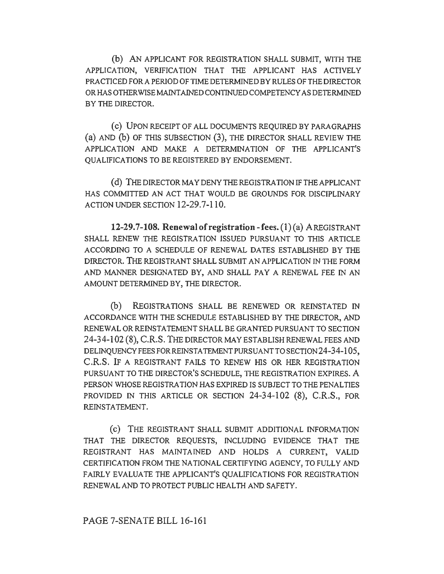(b) AN APPLICANT FOR REGISTRATION SHALL SUBMIT, WITH THE APPLICATION, VERIFICATION THAT THE APPLICANT HAS ACTIVELY PRACTICED FOR A PERIOD OF TIME DETERMINED BY RULES OF THE DIRECTOR OR HAS OTHERWISE MAINTAINED CONTINUED COMPETENCY AS DETERMINED BY THE DIRECTOR.

( c) UPON RECEIPT OF ALL DOCUMENTS REQUIRED BY PARAGRAPHS (a) AND (b) OF THIS SUBSECTION (3), THE DIRECTOR SHALL REVIEW THE APPLICATION AND MAKE A DETERMINATION OF THE APPLICANT'S QUALIFICATIONS TO BE REGISTERED BY ENDORSEMENT.

(d) THE DIRECTOR MAY DENY THE REGISTRATION IF THE APPLICANT HAS COMMITTED AN ACT THAT WOULD BE GROUNDS FOR DISCIPLINARY ACTION UNDER SECTION 12-29.7-110.

**12-29.7-108. Renewal of registration-fees.** (1) (a) A REGISTRANT SHALL RENEW THE REGISTRATION ISSUED PURSUANT TO THIS ARTICLE ACCORDING TO A SCHEDULE OF RENEWAL DATES ESTABLISHED BY THE DIRECTOR. THE REGISTRANT SHALL SUBMIT AN APPLICATION IN THE FORM AND MANNER DESIGNATED BY, AND SHALL PAY A RENEWAL FEE IN AN AMOUNT DETERMINED BY, THE DIRECTOR.

(b) REGISTRATIONS SHALL BE RENEWED OR REINSTATED IN ACCORDANCE WITH THE SCHEDULE ESTABLISHED BY THE DIRECTOR, AND RENEWAL OR REINSTATEMENT SHALL BE GRANTED PURSUANT TO SECTION 24-34-102 (8), C.R.S. THE DIRECTOR MAY ESTABLISH RENEWAL FEES AND DELINQUENCY FEES FOR REINSTATEMENT PURSUANT TO SECTION 24-34-105, C.R.S. lF A REGISTRANT FAILS TO RENEW HIS OR HER REGISTRATION PURSUANT TO THE DIRECTOR'S SCHEDULE, THE REGISTRATION EXPIRES. A PERSON WHOSE REGISTRATION HAS EXPIRED IS SUBJECT TO THE PENALTIES PROVIDED IN THIS ARTICLE OR SECTION 24-34-102 (8), C.R.S., FOR REINSTATEMENT.

(c) THE REGISTRANT SHALL SUBMIT ADDITIONAL INFORMATION THAT THE DIRECTOR REQUESTS, INCLUDING EVIDENCE THAT THE REGISTRANT HAS MAINTAINED AND HOLDS A CURRENT, VALID CERTIFICATION FROM THE NATIONAL CERTIFYING AGENCY, TO FULLY AND FAIRLY EVALUATE THE APPLICANT'S QUALIFICATIONS FOR REGISTRATION RENEWAL AND TO PROTECT PUBLIC HEALTH AND SAFETY.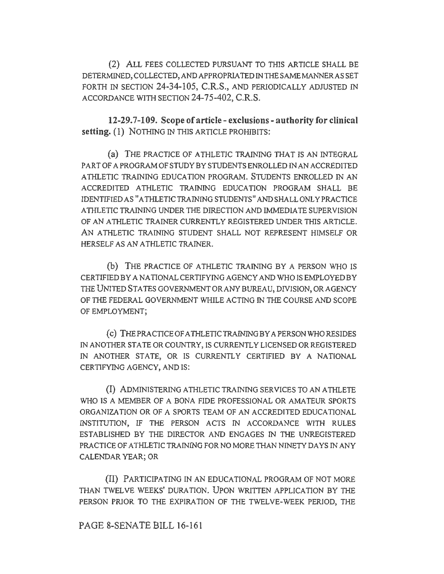(2) ALL FEES COLLECTED PURSUANT TO THIS ARTICLE SHALL BE DETERMINED, COLLECTED, AND APPROPRIATED IN THE SAME MANNER AS SET FORTH IN SECTION 24-34-105, C.R.S., AND PERIODICALLY ADJUSTED IN ACCORDANCE WITH SECTION 24-75-402, C.R.S.

12-29. 7-109. Scope of article - exclusions - authority for clinical setting. (1) NOTHING IN THIS ARTICLE PROHIBITS:

(a) THE PRACTICE OF ATHLETIC TRAINING THAT IS AN INTEGRAL PART OF A PROGRAM OF STUDY BY STUDENTS ENROLLED IN AN ACCREDITED ATHLETIC TRAINING EDUCATION PROGRAM. STUDENTS ENROLLED IN AN ACCREDITED ATHLETIC TRAINING EDUCATJON PROGRAM SHALL BE IDENTIFIED AS "ATHLETIC TRAINING STUDENTS" AND SHALL ONLY PRACTICE ATHLETIC TRAINING UNDER THE DIRECTION AND IMMEDIATE SUPERVISION OF AN ATHLETIC TRAINER CURRENTLY REGISTERED UNDER THIS ARTICLE. AN ATHLETIC TRAINING STUDENT SHALL NOT REPRESENT HIMSELF OR HERSELF AS AN ATHLETIC TRAINER.

(b) THE PRACTICE OF ATHLETIC TRAINING BY A PERSON WHO IS CERTIFIED BY A NATIONAL CERTIFYING AGENCY AND WHO IS EMPLOYED BY THE UNITED STA TES GOVERNMENT OR ANY BUREAU, DIVISION, OR AGENCY OF THE FEDERAL GOVERNMENT WHILE ACTING IN THE COURSE AND SCOPE OF EMPLOYMENT;

( c) THE PRACTICE OF ATHLETIC TRAINING BY A PERSON WHO RESIDES IN ANOTHER STATE OR COUNTRY, IS CURRENTLY LICENSED OR REGISTERED IN ANOTHER STATE, OR IS CURRENTLY CERTIFIED BY A NATIONAL CERTIFYING AGENCY, AND IS:

(I) ADMINISTERING ATHLETIC TRAINING SERVICES TO AN ATHLETE WHO IS A MEMBER OF A BONA FIDE PROFESSIONAL OR AMATEUR SPORTS ORGANIZATION OR OF A SPORTS TEAM OF AN ACCREDITED EDUCATIONAL INSTITUTION, IF THE PERSON ACTS IN ACCORDANCE WITH RULES ESTABLISHED BY THE DIRECTOR AND ENGAGES IN THE UNREGISTERED PRACTICE OF ATHLETIC TRAINING FOR NO MORE THAN NINETY DAYS IN ANY CALENDAR YEAR; OR

(II) PARTICIPATING IN AN EDUCATIONAL PROGRAM OF NOT MORE THAN TWELVE WEEKS' DURATION. UPON WRITTEN APPLICATION BY THE PERSON PRIOR TO THE EXPIRATION OF THE TWELVE-WEEK PERIOD, THE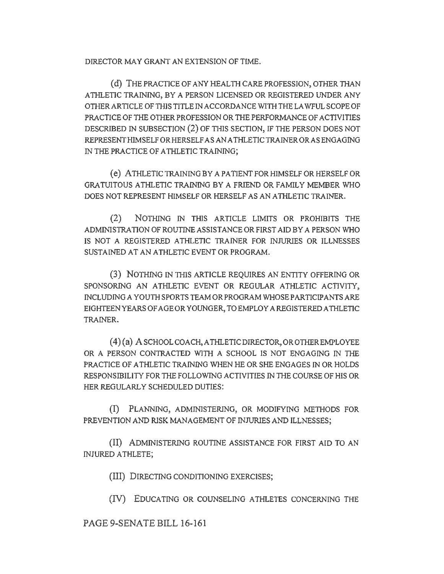DIRECTOR MAY GRANT AN EXTENSION OF TIME.

(d) THE PRACTICE OF ANY HEALTH CARE PROFESSION, OTHER THAN ATHLETIC TRAINING, BY A PERSON LICENSED OR REGISTERED UNDER ANY OTHER ARTICLE OF THIS TITLE IN ACCORDANCE WITH THE LAWFUL SCOPE OF PRACTICE OF THE OTHER PROFESSION OR THE PERFORMANCE OF ACTIVITIES DESCRIBED IN SUBSECTION (2) OF THIS SECTION, IF THE PERSON DOES NOT REPRESENT HIMSELF OR HERSELF AS AN A THLETJC TRAINER ORAS ENGAGING IN THE PRACTICE OF ATHLETIC TRAINING:

( e) ATHLETIC TRAINING BY A PATIENT FOR HIMSELF OR HERSELF OR GRATUITOUS ATHLETIC TRAINING BY A FRIEND OR FAMILY MEMBER WHO DOES NOT REPRESENT HIMSELF OR HERSELF AS AN ATHLETIC TRAINER.

(2) NOTHING JN TIIIS ARTICLE LIMITS OR PROHIBITS THE ADMINISTRATION OF ROUTINE ASSISTANCE OR FIRST AID BY A PERSON WHO IS NOT A REGISTERED ATHLETIC TRAINER FOR INJURIES OR ILLNESSES SUSTAINED AT AN ATHLETIC EVENT OR PROGRAM.

(3) NOTHING IN THIS ARTICLE REQUIRES AN ENTITY OFFERING OR SPONSORING AN ATHLETIC EVENT OR REGULAR ATHLETIC ACTIVITY, INCLUDING A YOUTH SPORTS TEAM OR PROGRAM WHOSE PARTICIPANTS ARE EIGHTEEN YEARS OF AGE OR YOUNGER, TO EMPLOY A REGISTERED ATHLETIC TRAINER.

 $(4)(a)$  A SCHOOL COACH, ATHLETIC DIRECTOR, OR OTHER EMPLOYEE OR A PERSON CONTRACTED WITH A SCHOOL IS NOT ENGAGING IN THE PRACTICE OF ATHLETIC TRAINING WHEN HE OR SHE ENGAGES IN OR HOLDS RESPONSIBILITY FOR THE FOLLOWING ACTIVITIES IN TIIE COURSE OF HIS OR HER REGULARLY SCHEDULED DUTIES:

(I) PLANNING, ADMINISTERING, OR MODIFYING METHODS FOR PREVENTION AND RISK MANAGEMENT OF INJURIES AND ILLNESSES;

(II) ADMINISTERING ROUTINE ASSISTANCE FOR FIRST AID TO AN INJURED ATHLETE;

(III) DIRECTING CONDITIONING EXERCISES;

(IV) EDUCATING OR COUNSELING ATHLETES CONCERNING THE

PAGE 9-SENATE BILL 16-161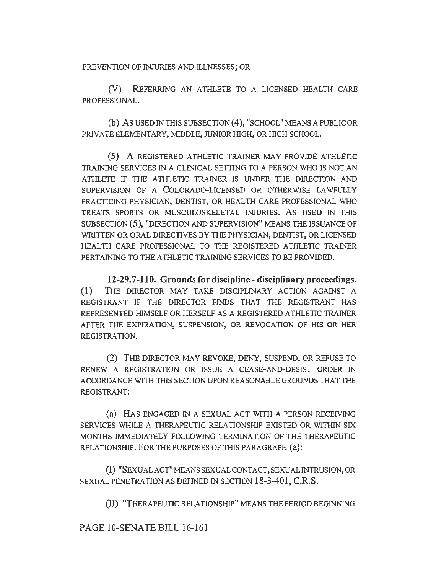PREVENTION OF INJURIES AND ILLNESSES; OR

(V) REFERRING AN ATHLETE TO A LICENSED HEALTH CARE PROFESSIONAL.

(b) AS USED IN THIS SUBSECTION (4), "SCHOOL" MEANS A PUBLIC OR PRIVATE ELEMENTARY, MIDDLE, JUNIOR HIGH, OR HIGH SCHOOL.

(5) A REGISTERED ATHLETIC TRAINER MAY PROVIDE ATHLETIC TRAINING SERVICES IN A CLINICAL SETTING TO A PERSON WHO IS NOT AN ATHLETE IF THE ATHLETIC TRAINER IS UNDER THE DIRECTION AND SUPERVISION OF A COLORADO-LICENSED OR OTHERWISE LAWFULLY PRACTICING PHYSICIAN, DENTIST, OR HEALTH CARE PROFESSIONAL WHO TREATS SPORTS OR MUSCULOSKELETAL INJURIES. AS USED IN THIS SUBSECTION (5), "DIRECTION AND SUPERVISION" MEANS THE ISSUANCE OF WRITTEN OR ORAL DIRECTIVES BY THE PHYSICIAN, DENTIST, OR LICENSED HEALTH CARE PROFESSIONAL TO THE REGISTERED ATHLETIC TRAINER PERTAINING TO THE ATHLETIC TRAINING SERVICES TO BE PROVIDED.

**12-29. 7-110. Grounds for discipline - disciplinary proceedings.**  (1) THE DIRECTOR MAY TAKE DISCIPLINARY ACTION AGAINST A REGISTRANT IF THE DIRECTOR FINDS THAT THE REGISTRANT HAS REPRESENTED HIMSELF OR HERSELF AS A REGISTERED ATHLETIC TRAINER AFTER THE EXPIRATION, SUSPENSION, OR REVOCATION OF HIS OR HER REGISTRATION.

(2) THE DIRECTOR MAY REVOKE, DENY, SUSPEND, OR REFUSE TO RENEW A REGISTRATION OR ISSUE A CEASE-AND-DESIST ORDER IN ACCORDANCE WITH THIS SECTION UPON REASONABLE GROUNDS THAT THE REGISTRANT:

(a) HAS ENGAGED IN A SEXUAL ACT WITH A PERSON RECEIVING SERVICES WHILE A THERAPEUTIC RELATIONSHIP EXISTED OR WITHIN SIX MONTHS IMMEDIATELY FOLLOWING TERMINATION OF THE THERAPEUTIC RELATIONSHIP. FOR THE PURPOSES OF THIS PARAGRAPH (a):

(I) "SEXUAL ACT" MEANS SEXUAL CONTACT, SEXUAL INTRUSION, OR SEXUAL PENETRATION AS DEFINED IN SECTION 18-3-401, C.R.S.

(11) "THERAPEUTIC RELATIONSHIP" MEANS THE PERIOD BEGINNING

PAGE IO-SENATE BILL 16-161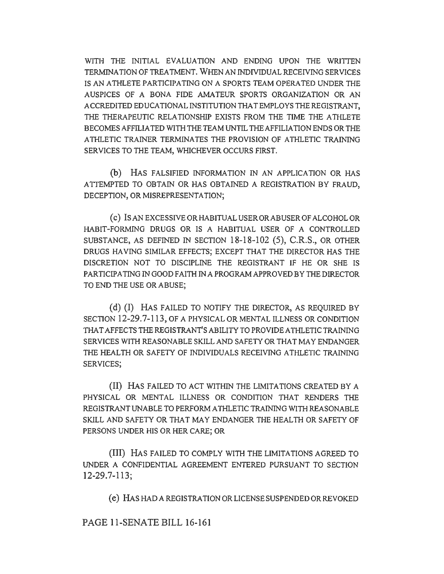WITH THE INITIAL EVALUATION AND ENDING UPON THE WRITTEN TERMINATION OF TREATMENT. WHEN AN INDIVIDUAL RECEIVING SERVICES IS AN ATHLETE PARTICIPATING ON A SPORTS TEAM OPERATED UNDER THE AUSPICES OF A BONA FIDE AMATEUR SPORTS ORGANIZATION OR AN ACCREDITED EDUCATIONAL INSTITUTION THAT EMPLOYS THE REGISTRANT, THE THERAPEUTIC RELATIONSHIP EXISTS FROM THE TIME THE ATHLETE BECOMES AFFILIATED WITH THE TEAM UNTIL THE AFFILIATION ENDS OR THE ATHLETIC TRAINER TERMINATES THE PROVISION OF ATHLETIC TRAINING SERVICES TO THE TEAM, WHICHEVER OCCURS FIRST.

(b) HAS FALSIFIED INFORMATION IN AN APPLICATION OR HAS ATTEMPTED TO OBTAIN OR HAS OBTAINED A REGISTRATION BY FRAUD, DECEPTION, OR MISREPRESENTATION;

( c) IS AN EXCESSIVE OR HABITUAL USER OR ABUSER OF ALCOHOL OR HABIT-FORMING DRUGS OR IS A HABITUAL USER OF A CONTROLLED SUBSTANCE, AS DEFINED IN SECTION 18-18-102 (5), C.R.S., OR OTHER DRUGS HAVING SIMILAR EFFECTS; EXCEPT THAT THE DIRECTOR HAS THE DISCRETION NOT TO DISCIPLINE THE REGISTRANT IF HE OR SHE IS PARTICIPATING IN GOOD FAITH IN A PROGRAM APPROVED BY THE DIRECTOR TO END THE USE OR ABUSE;

(d) (I) HAS FAILED TO NOTIFY THE DIRECTOR, AS REQUIRED BY SECTION 12-29.7-113, OF A PHYSICAL OR MENTAL ILLNESS OR CONDITION THAT AFFECTS THE REGISTRANT'S ABILITY TO PROVIDE A THLETJC TRAINING SERVICES WITH REASONABLE SKILL AND SAFETY OR THAT MAY ENDANGER THE HEALTH OR SAFETY OF INDIVIDUALS RECEIVING ATHLETIC TRAINING SERVICES;

(II) HAS FAILED TO ACT WITHIN THE LIMITATIONS CREATED BY A PHYSICAL OR MENTAL ILLNESS OR CONDITION THAT RENDERS THE REGISTRANT UNABLE TO PERFORM ATHLETIC TRAINING WITH REASONABLE SKILL AND SAFETY OR THAT MAY ENDANGER THE HEALTH OR SAFETY OF PERSONS UNDER HIS OR HER CARE; OR

(III) HAS FAILED TO COMPLY WITH THE LIMITATIONS AGREED TO UNDER A CONFIDENTIAL AGREEMENT ENTERED PURSUANT TO SECTION 12-29.7-113;

( e) HAS HAD A REGISTRATION OR LICENSE SUSPENDED OR REVOKED

PAGE II-SENATE BILL 16-161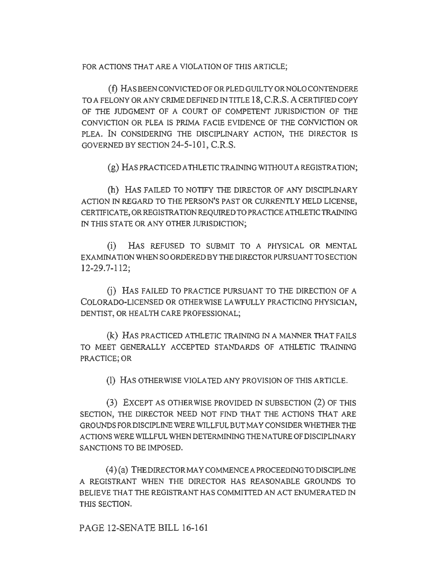FOR ACTIONS THAT ARE A VIOLATION OF THIS ARTICLE;

(f) HAS BEEN CONVICTED OF OR PLED GUILTY OR NOLO CONTENDERE TO A FELONY OR ANY CRIME DEFINED IN TITLE 18, C.R.S. A CERTIFIED COPY OF THE JUDGMENT OF A COURT OF COMPETENT JURISDICTION OF THE CONVICTION OR PLEA IS PRIMA FACIE EVIDENCE OF THE CONVICTION OR PLEA. IN CONSIDERING THE DISCIPLINARY ACTION, THE DIRECTOR IS GOVERNED BY SECTION 24-5-101, C.R.S.

(g) HAS PRACTICED ATHLETIC TRAINING WITIIOUT A REGISTRATION;

(h) HAS FAILED TO NOTIFY THE DIRECTOR OF ANY DISCIPLINARY ACTION IN REGARD TO THE PERSON'S PAST OR CURRENTLY HELD LICENSE, CERTIFICATE,ORREGISTRATIONREQUIREDTOPRACTICEATHLETICTRAINJNG IN THIS STATE OR ANY OTHER JURISDICTION;

(i) HAS REFUSED TO SUBMIT TO A PHYSICAL OR MENTAL EXAMINATION WHEN SO ORDERED BY THE DIRECTOR PURSUANT TO SECTION 12-29.7-112;

G) HAS FAILED TO PRACTICE PURSUANT TO THE DIRECTION OF A COLORADO-LICENSED OR OTHERWISE LAWFULLY PRACTICING PHYSICIAN, DENTIST, OR HEALTH CARE PROFESSIONAL;

(k) HAS PRACTICED ATHLETIC TRAINING IN A MANNER THAT FAILS TO MEET GENERALLY ACCEPTED STANDARDS OF ATHLETIC TRAINING PRACTICE; OR

(1) HAS OTHER WISE VIOLA TED ANY PROVISION OF THIS ARTICLE.

(3) EXCEPT AS OTHERWISE PROVIDED IN SUBSECTION (2) OF THIS SECTION, THE DIRECTOR NEED NOT FIND THAT THE ACTIONS THAT ARE GROUNDS FOR DISCIPLINE WERE WILLFUL BUT MAY CONSIDER WHETHER THE ACTlONS WERE WILLFUL WHEN DETERMINING THE NATURE OF DISCIPLINARY SANCTIONS TO BE IMPOSED.

(4)(a) THEDIRECTORMAYCOMMENCEAPROCEEDINGTODISCIPLINE A REGISTRANT WHEN THE DIRECTOR HAS REASONABLE GROUNDS TO BELIEVE THAT THE REGISTRANT HAS COMMITTED AN ACT ENUMERATED TN THIS SECTION.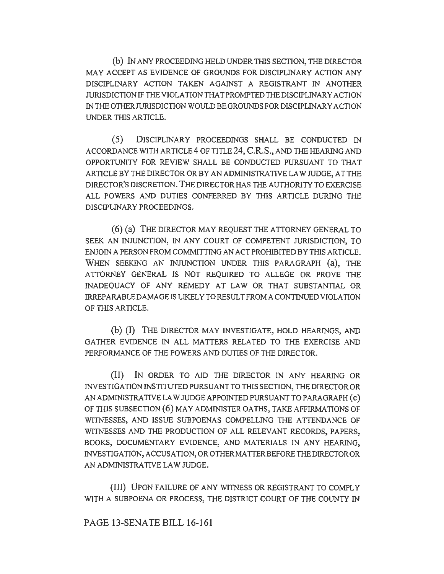(b) IN ANY PROCEEDING HELD UNDER THIS SECTION, THE DIRECTOR MAY ACCEPT AS EVIDENCE OF GROUNDS FOR DISCIPLINARY ACTION ANY DISCIPLINARY ACTION TAKEN AGAINST A REGISTRANT IN ANOTHER JURISDICTION IF THE VIOLATION THAT PROMPTED THE DISCIPLINARY ACTION IN THE OTHER JURISDICTION WOULD BE GROUNDS FOR DISCIPLINARY ACTION UNDER THIS ARTICLE.

(5) DISCIPLINARY PROCEEDINGS SHALL BE CONDUCTED JN ACCORDANCE WITH ARTICLE 4 OF TITLE 24, C.R.S., AND THE HEARING AND OPPORTUNITY FOR REVIEW SHALL BE CONDUCTED PURSUANT TO THAT ARTICLE BY THE DIRECTOR OR BY AN ADMINJSTRA TIVE LAW JUDGE, AT THE DIRECTOR'S DISCRETION. THE DIRECTOR HAS THE AUTHORITY TO EXERCISE ALL POWERS AND DUTIES CONFERRED BY THIS ARTICLE DURING THE DISCIPLINARY PROCEEDINGS.

( 6) (a) THE DIRECTOR MAY REQUEST THE ATTORNEY GENERAL TO SEEK AN INJUNCTION, IN ANY COURT OF COMPETENT JURISDICTION, TO ENJOIN A PERSON FROM COMMITTING AN ACT PROHIBITED BY THIS ARTICLE. WHEN SEEKING AN INJUNCTION UNDER THIS PARAGRAPH (a), THE ATTORNEY GENERAL IS NOT REQUIRED TO ALLEGE OR PROVE THE INADEQUACY OF ANY REMEDY AT LAW OR THAT SUBSTANTIAL OR IRREPARABLE DAMAGE IS LIKELY TO RESULT FROM A CONTINUED VIOLATION OF THIS ARTICLE.

(b) (I) THE DIRECTOR MAY INVESTIGATE, HOLD HEARINGS, AND GATHER EVIDENCE IN ALL MATTERS RELATED TO THE EXERCISE AND PERFORMANCE OF THE POWERS AND DUTIES OF THE DIRECTOR.

(II) IN ORDER TO AID THE DIRECTOR IN ANY HEARING OR INVESTIGATION INSTITUTED PURSUANT TO THIS SECTION, THE DIRECTOR OR AN ADMINISTRATIVE LAW JUDGE APPOINTED PURSUANT TO PARAGRAPH (c) OF THIS SUBSECTION (6) MAY ADMINISTER OATHS, TAKE AFFIRMATIONS OF WJTNESSES, AND ISSUE SUBPOENAS COMPELLING THE ATTENDANCE OF WJTNESSES AND THE PRODUCTION OF ALL RELEVANT RECORDS, PAPERS, BOOKS, DOCUMENTARY EVIDENCE, AND MATERIALS IN ANY HEARING, INVESTIGATION, ACCUSATION, OR OTHER MA TIER BEFORE THE DIRECTOR OR AN ADMINISTRATIVE LAW JUDGE.

(III) UPON FAILURE OF ANY WITNESS OR REGISTRANT TO COMPLY WITH A SUBPOENA OR PROCESS, THE DISTRICT COURT OF THE COUNTY IN

PAGE 13-SENATE BILL 16-161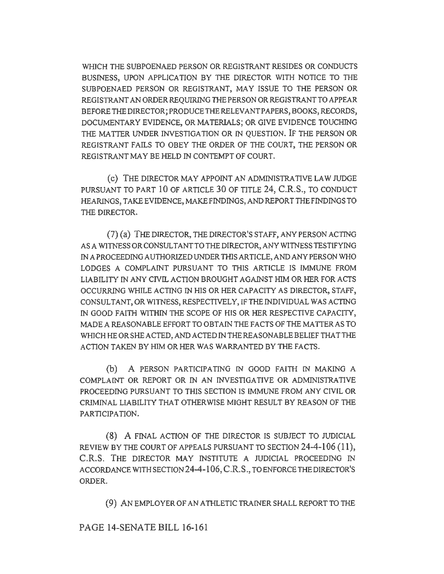WHICH THE SUBPOENAED PERSON OR REGISTRANT RESIDES OR CONDUCTS BUSINESS, UPON APPLICATION BY THE DIRECTOR WITH NOTICE TO THE SUBPOENAED PERSON OR REGISTRANT, MAY ISSUE TO THE PERSON OR REGISTRANT AN ORDER REQUIRING THE PERSON OR REGISTRANT TO APPEAR BEFORE THE DIRECTOR; PRODUCE THE RELEVANT PAPERS, BOOKS, RECORDS, DOCUMENT ARY EVIDENCE, OR MATERIALS; OR GIVE EVIDENCE TOUCHING THE MATTER UNDER INVESTIGATION OR IN QUESTION. IF THE PERSON OR REGISTRANT FAILS TO OBEY THE ORDER OF THE COURT, THE PERSON OR REGISTRANT MAY BE HELO IN CONTEMPT OF COURT.

( c) THE DIRECTOR MAY APPOINT AN ADMINISTRATIVE LAW JUDGE PURSUANT TO PART 10 OF ARTICLE 30 OF TITLE 24, C.R.S., TO CONDUCT HEARINGS, TAKE EVIDENCE, MAKE FINDINGS, AND REPORT THE FINDINGS TO THE DIRECTOR.

(7) (a) THE DIRECTOR, THE DIRECTOR'S STAFF, ANY PERSON ACTING AS A WITNESS OR CONSUL TANT TO THE DIRECTOR, ANY WITNESS TESTIFYING IN A PROCEEDING AUTHORIZED UNDER THlS ARTICLE, AND ANY PERSON WHO LODGES A COMPLAINT PURSUANT TO THIS ARTICLE IS IMMUNE FROM LIABILITY IN ANY CIVIL ACTION BROUGHT AGAINST HIM OR HER FOR ACTS OCCURRING WHILE ACTING IN HIS OR HER CAPACITY AS DIRECTOR, STAFF, CONSULTANT, OR WITNESS, RESPECTIVELY, IFTHE INDIVIDUAL WAS ACTING IN GOOD FAITH WITHIN THE SCOPE OF HIS OR HER RESPECTIVE CAPACITY. MADE A REASONABLE EFFORT TO OBTAIN THE FACTS OF THE MATTER AS TO WHICH HE OR SHE ACTED, AND ACTED IN THE REASONABLE BELIEF THAT THE ACTION TAKEN BY HIM OR HER WAS WARRANTED BY THE FACTS.

(b) A PERSON PARTICIPATING IN GOOD FAITH IN MAKING A COMPLAINT OR REPORT OR IN AN INVESTIGATIVE OR ADMINISTRATIVE PROCEEDING PURSUANT TO THIS SECTION IS IMMUNE FROM ANY CIVIL OR CRIMINAL LIABILITY THAT OTHERWISE MIGHT RESULT BY REASON OF THE PARTICIPATION.

(8) A FINAL ACTION OF THE DIRECTOR IS SUBJECT TO JUDICIAL REVIEW BY THE COURT OF APPEALS PURSUANT TO SECTION 24-4-106 (11), C.R.S. THE DIRECTOR MAY INSTITUTE A JUDICIAL PROCEEDING IN ACCORDANCE WITH SECTION 24-4-106, C.R.S., TO ENFORCE THE DIRECTOR'S ORDER.

(9) AN EMPLOYER OF AN A THLETJC TRAINER SHALL REPORT TO THE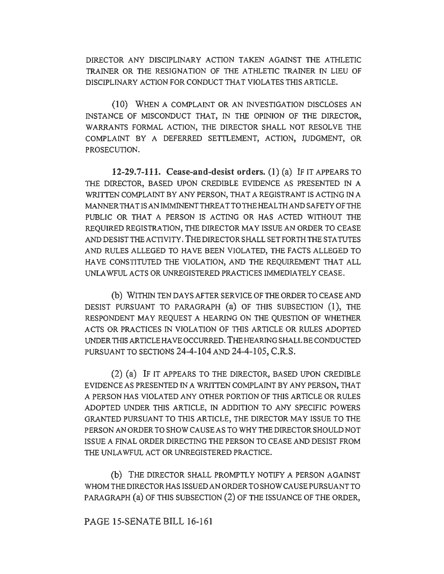DIRECTOR ANY DISCIPLINARY ACTION TAKEN AGAINST THE ATHLETIC TRAINER OR THE RESIGNATION OF THE ATHLETIC TRAINER IN LIEU OF DISCIPLINARY ACTION FOR CONDUCT THAT VIOLA TES THIS ARTICLE.

(10) WHEN A COMPLAINT OR AN INVESTIGATION DISCLOSES AN INSTANCE OF MISCONDUCT THAT, IN THE OPINION OF THE DIRECTOR, WARRANTS FORMAL ACTION, THE DIRECTOR SHALL NOT RESOLVE THE COMPLAINT BY A DEFERRED SETTLEMENT, ACTION, JUDGMENT, OR PROSECUTION.

**12-29.7-111. Cease-and-desist orders. (1)** (a) IF IT APPEARS TO THE DIRECTOR, BASED UPON CREDIBLE EVIDENCE AS PRESENTED IN A WRITTEN COMPLAINT BY ANY PERSON, THAT A REGISTRANT IS ACTING IN A MANNER THAT IS AN IMMINENT THREAT TO THE HEALTH AND SAFETY OF THE PUBLIC OR THAT A PERSON IS ACTING OR HAS ACTED WITHOUT THE REQUIRED REGISTRATION, THE DIRECTOR MAY ISSUE AN ORDER TO CEASE AND DESIST THE ACTIVITY. THE DIRECTOR SHALL SET FORTH THE STATUTES AND RULES ALLEGED TO HAVE BEEN VIOLATED, THE FACTS ALLEGED TO HA VE CONSTITUTED THE VIOLATION, AND THE REQUIREMENT THAT ALL UNLAWFUL ACTS OR UNREGISTERED PRACTICES IMMEDIATELY CEASE.

(b) WITHIN TEN DAYS AFTER SERVICE OF THE ORDER TO CEASE AND DESIST PURSUANT TO PARAGRAPH (a) OF THIS SUBSECTION (1), THE RESPONDENT MAY REQUEST A HEARING ON THE QUESTION OF WHETHER ACTS OR PRACTICES IN VIOLATION OF THIS ARTICLE OR RULES ADOPTED UNDER THIS ARTICLE HA VE OCCURRED. THE HEARING SHALL BE CONDUCTED PURSUANT TO SECTIONS 24-4-104 AND 24-4-105, C.R.S.

(2) (a) IF IT APPEARS TO THE DIRECTOR, BASED UPON CREDIBLE EVIDENCE AS PRESENTED IN A WRITTEN COMPLAINT BY ANY PERSON, THAT A PERSON HAS VIOLATED ANY OTHER PORTION OF THIS ARTICLE OR RULES ADOPTED UNDER THIS ARTICLE, IN ADDITION TO ANY SPECIFIC POWERS GRANTED PURSUANT TO THIS ARTICLE, THE DIRECTOR MAY ISSUE TO THE PERSON AN ORDER TO SHOW CAUSE AS TO WHY THE DIRECTOR SHOULD NOT ISSUE A FINAL ORDER DIRECTING THE PERSON TO CEASE AND DESIST FROM THE UNLAWFUL ACT OR UNREGISTERED PRACTICE.

(b) THE DIRECTOR SHALL PROMPTLY NOTIFY A PERSON AGAINST WHOM THE DIRECTOR HAS ISSUED AN ORDER TO SHOW CAUSE PURSUANT TO PARAGRAPH (a) OF THIS SUBSECTION (2) OF THE ISSUANCE OF THE ORDER,

PAGE 15-SENATE BILL 16-161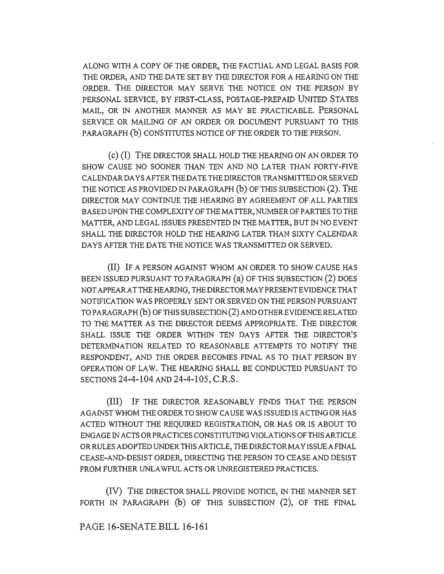ALONG W1TH A COPY OF THE ORDER, THE FACTUAL AND LEGAL BASIS FOR THE ORDER, AND THE DA TE SET BY THE DIRECTOR FOR A HEARING ON THE ORDER. THE DIRECTOR MAY SERVE THE NOTICE ON THE PERSON BY PERSONAL SERVICE, BY FIRST-CLASS, POSTAGE-PREPAID UNITED STATES MAIL, OR IN ANOTHER MANNER AS MAY BE PRACTICABLE. PERSONAL SERVICE OR MAILING OF AN ORDER OR DOCUMENT PURSUANT TO THIS PARAGRAPH (b) CONSTITUTES NOTICE OF THE ORDER TO THE PERSON.

( c) (I) THE DIRECTOR SHALL HOLD THE HEARING ON AN ORDER TO SHOW CAUSE NO SOONER THAN TEN AND NO LATER THAN FORTY-FIVE CALENDAR DAYS AFTER THE DATE THE DIRECTOR TRANSMITTED OR SERVED THE NOTICE AS PROVIDED IN PARA GRAPH (b) OF THIS SUBSECTION (2). THE DIRECTOR MAY CONTINUE THE HEARING BY AGREEMENT OF ALL PARTIES BASED UPON THE COMPLEXITY OF THE MATTER, NUMBER OF PARTIES TO THE MA TIER, AND LEGAL ISSUES PRESENTED IN THE MATTER, BUT IN NO EVENT SHALL THE DIRECTOR HOLD THE HEARING LATER THAN SIXTY CALENDAR DAYS AFTER THE DA TE THE NOTICE WAS TRANSMITTED OR SERVED.

(II) IF A PERSON AGAINST WHOM AN ORDER TO SHOW CAUSE HAS BEEN ISSUED PURSUANT TO PARAGRAPH (a) OF THIS SUBSECTION (2) DOES NOT APPEARATTHEHEARING, THEDlRECTORMA YPRESENTEVIDENCE THAT NOTIFICATION WAS PROPERLY SENT OR SERVED ON THE PERSON PURSUANT TO PARAGRAPH (b) OF THIS SUBSECTION (2) AND OTHER EVIDENCE RELATED TO THE MATTER AS THE DIRECTOR DEEMS APPROPRIATE. THE DIRECTOR SHALL ISSUE THE ORDER W1THIN TEN DAYS AFTER THE DIRECTOR'S DETERMINATION RELATED TO REASONABLE ATTEMPTS TO NOTIFY THE RESPONDENT, AND THE ORDER BECOMES FINAL AS TO THAT PERSON BY OPERATION OF LAW. THE HEARING SHALL BE CONDUCTED PURSUANT TO SECTIONS 24-4-104 AND 24-4-105, C.R.S.

(III) IF THE DIRECTOR REASONABLY FINDS THAT THE PERSON AGAINST WHOM THE ORDER TO SHOW CAUSE WAS ISSUED IS ACTING OR HAS ACTED WITHOUT THE REQUIRED REGISTRATION, OR HAS OR IS ABOUT TO ENGAGE IN ACTS OR PRACTICES CONSTITUTING VIOLATIONS OF THIS ARTICLE OR RULES ADOPTED UNDER THIS ARTICLE, THE DIRECTOR MAY ISSUE A FINAL CEASE-AND-DESIST ORDER, DIRECTING THE PERSON TO CEASE AND DESIST FROM FURTHER UNLAWFUL ACTS OR UNREGISTERED PRACTICES.

(IV) THE DIRECTOR SHALL PROVIDE NOTICE, IN THE MANNER SET FORTH IN PARAGRAPH (b) OF THIS SUBSECTION (2), OF THE FINAL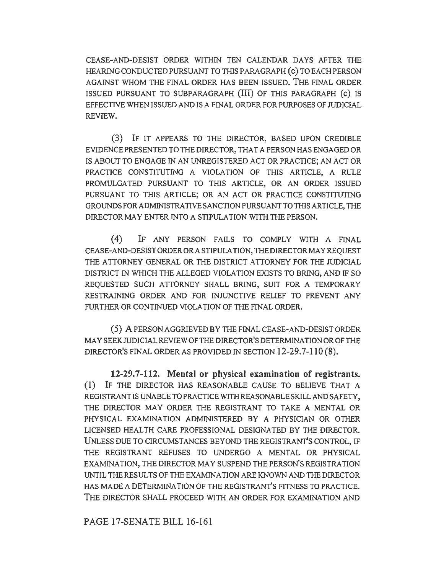CEASE-AND-DESIST ORDER WITHIN TEN CALENDAR DAYS AFTER THE HEARING CONDUCTED PURSUANT TO THIS PARA GRAPH ( c) TO EACH PERSON AGAINST WHOM THE FINAL ORDER HAS BEEN ISSUED. THE FINAL ORDER ISSUED PURSUANT TO SUBPARAGRAPH (III) OF THIS PARAGRAPH (c) IS EFFECTIVE WHEN ISSUED AND IS A FINAL ORDER FOR PURPOSES OF JUDICIAL REVIEW.

(3) IF IT APPEARS TO THE DIRECTOR, BASED UPON CREDIBLE EVIDENCE PRESENTED TO THE DIRECTOR, THAT A PERSON HAS ENGAGED OR IS ABOUT TO ENGAGE IN AN UNREGISTERED ACT OR PRACTICE; AN ACT OR PRACTICE CONSTITUTING A VIOLATION OF THIS ARTICLE, A RULE PROMULGATED PURSUANT TO THIS ARTICLE, OR AN ORDER ISSUED PURSUANT TO THIS ARTICLE; OR AN ACT OR PRACTICE CONSTITUTING GROUNDS FOR ADMINISTRATIVE SANCTION PURSUANT TO THIS ARTICLE, THE DIRECTOR MAY ENTER INTO A STIPULATION WITH THE PERSON.

(4) IF ANY PERSON FAILS TO COMPLY WITH A FINAL CEASE-AND-DESIST ORDER ORA STIPULATION, THE DIRECTOR MAY REQUEST THE ATTORNEY GENERAL OR THE DISTRICT ATTORNEY FOR THE JUDICIAL DISTRICT IN WHICH THE ALLEGED VIOLATION EXISTS TO BRING, AND IF SO REQUESTED SUCH ATTORNEY SHALL BRING, SUIT FOR A TEMPORARY RESTRAINING ORDER AND FOR INJUNCTIVE RELIEF TO PREVENT ANY FURTHER OR CONTINUED VIOLATION OF THE FINAL ORDER.

(5) A PERSON AGGRIEVED BY THE FINAL CEASE-AND-DESIST ORDER MAY SEEK JUDICIAL REVIEW OF THE DIRECTOR'S DETERMINATION OR OF THE DIRECTOR'S FINAL ORDER AS PROVIDED IN SECTION 12-29.7-110 (8).

**12-29. 7-112. Mental or physical examination of registrants.**  (1) IF THE DIRECTOR HAS REASONABLE CAUSE TO BELIEVE THAT A REGISTRANT IS UNABLE TO PRACTICE WITH REASONABLE SKILL AND SAFETY, THE DIRECTOR MAY ORDER THE REGISTRANT TO TAKE A MENTAL OR PHYSICAL EXAMINATION ADMIN1STERED BY A PHYSICIAN OR OTHER LICENSED HEALTH CARE PROFESSIONAL DESIGNATED BY THE DIRECTOR. UNLESS DUE TO CIRCUMSTANCES BEYOND THE REGISTRANT'S CONTROL, IF THE REGISTRANT REFUSES TO UNDERGO A MENTAL OR PHYSICAL EXAMINATION, THE DIRECTOR MAY SUSPEND THE PERSON'S REGISTRATION UNTIL THE RESULTS OF THE EXAMINATION ARE KNOWN AND THE DIRECTOR HAS MADE A DETERMINATION OF THE REGISTRANT'S FITNESS TO PRACTICE. THE DIRECTOR SHALL PROCEED WITH AN ORDER FOR EXAMINATION AND

PAGE 17-SENATE BILL 16-161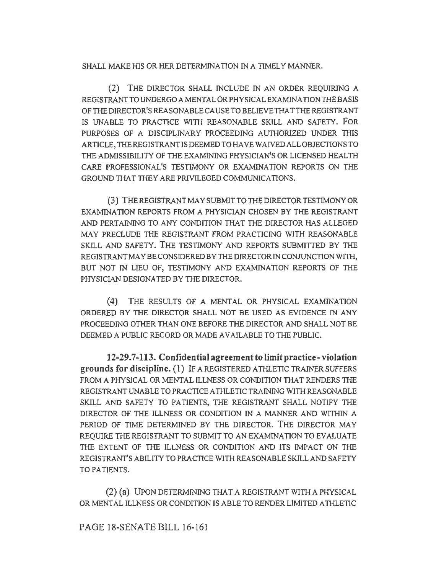SHALL MAKE HIS OR HER DETERMINATION IN A TIMELY MANNER.

(2) THE DIRECTOR SHALL INCLUDE IN AN ORDER REQUIRING A REGISTRANTTOUNDERGOAMENTALORPHYSICALEXAMINATIONTHEBASIS OF THE DIRECTOR'S REASONABLE CAUSE TO BELIEVE THA TTHE REGISTRANT IS UNABLE TO PRACTICE WITII REASONABLE SKILL AND SAFETY. FOR PURPOSES OF A DISCIPLINARY PROCEEDING AUTHORIZED UNDER THIS ARTICLE, THE REGISTRANT IS DEEMED TO HAVE WAIVED ALL OBJECTIONS TO THE ADMISSIBILITY OF THE EXAMINING PHYSICIAN'S OR LICENSED HEAL TH CARE PROFESSJONAL'S TESTIMONY OR EXAMINATION REPORTS ON THE GROUND THAT THEY ARE PRIVILEGED COMMUNICATIONS.

(3) THE REGISTRANT MAY SUBMIT TO THE DIRECTOR TESTIMONY OR EXAMINA TJON REPORTS FROM A PHYSICIAN CHOSEN BY THE REGISTRANT AND PERTAINING TO ANY CONDITION THAT THE DIRECTOR HAS ALLEGED MAY PRECLUDE THE REGISTRANT FROM PRACTICING WITH REASONABLE SKILL AND SAFETY. THE TESTIMONY AND REPORTS SUBMITTED BY THE REGISTRANT MAY BE CONSIDERED BY THE DIRECTOR IN CONJUNCTION WITH, BUT NOT IN LlEU OF, TESTIMONY AND EXAMINATION REPORTS OF THE PHYSICIAN DESIGNATED BY THE DIRECTOR.

(4) THE RESULTS OF A MENTAL OR PHYSICAL EXAMINATION ORDERED BY THE DIRECTOR SHALL NOT BE USED AS EVIDENCE IN ANY PROCEEDING OTHER THAN ONE BEFORE THE DIRECTOR AND SHALL NOT BE DEEMED A PUBLIC RECORD OR MADE AVAILABLE TO THE PUBLIC.

12-29.7-113. Confidential agreement to limit practice-violation **grounds for discipline.** (1) IF A REGISTERED ATHLETIC TRAINER SUFFERS FROM A PHYSICAL OR MENTAL ILLNESS OR CONDITION THAT RENDERS THE REGISTRANT UNABLE TO PRACTICE ATHLETIC TRAINING WITH REASONABLE SKILL AND SAFETY TO PATIENTS, THE REGISTRANT SHALL NOTIFY THE DIRECTOR OF THE ILLNESS OR CONDITION IN A MANNER AND WITIIIN A PERlOD OF TIME DETERMINED BY THE DIRECTOR. THE DIRECTOR MAY REQUIRE THE REGISTRANT TO SUBMIT TO AN EXAMINATION TO EVALUATE THE EXTENT OF THE ILLNESS OR CONDITION AND ITS IMPACT ON THE REGISTRANT'S ABILITY TO PRACTICE WITH REASONABLE SKILL AND SAFETY TO PATIENTS.

(2) (a) UPON DETERMINING THAT A REGISTRANT WITH A PHYSICAL OR MENTAL ILLNESS OR CONDITION IS ABLE TO RENDER LIMITED ATHLETIC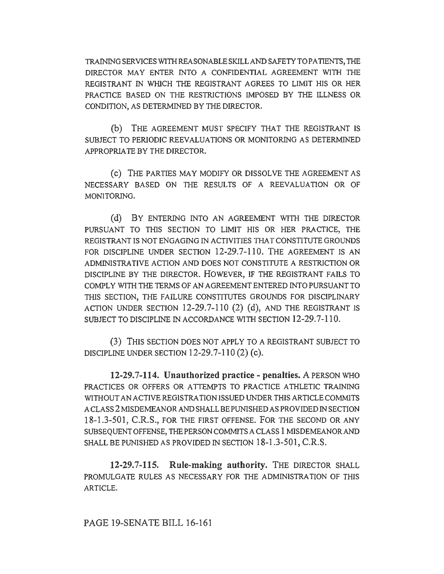TRAINING SERVICES WITH REASONABLE SKILL AND SAFETY TO PATIENTS, THE DIRECTOR MAY ENTER INTO A CONFIDENTIAL AGREEMENT WITH THE REGISTRANT IN WHICH THE REGISTRANT AGREES TO LIMJT HIS OR HER PRACTICE BASED ON THE RESTRICTIONS IMPOSED BY THE ILLNESS OR CONDITION, AS DETERMINED BY THE DIRECTOR.

(b) THE AGREEMENT MUST SPECIFY THAT THE REGISTRANT IS SUBJECT TO PERIODIC REEVALUATIONS OR MONITORING AS DETERMINED APPROPRIATE BY THE DIRECTOR.

(c) THE PARTIES MAY MODIFY OR DISSOLVE THE AGREEMENT AS NECESSARY BASED ON THE RESULTS OF A REEVALUATION OR OF MONITORING.

(d) BY ENTERING INTO AN AGREEMENT WITH THE DIRECTOR PURSUANT TO THIS SECTION TO LIMIT HIS OR HER PRACTICE, THE REGISTRANT IS NOT ENGAGING IN ACTIVITIES THAT CONSTITUTE GROUNDS FOR DISCIPLINE UNDER SECTION 12-29.7-110. THE AGREEMENT IS AN ADMINISTRATIVE ACTION AND DOES NOT CONSTITUTE A RESTRICTION OR DISCIPLINE BY THE DIRECTOR. HOWEVER, IF THE REGISTRANT FAILS TO COMPLY WITH THE TERMS OF AN AGREEMENT ENTERED INTO PURSUANT TO THIS SECTION, THE FAILURE CONSTITUTES GROUNDS FOR DISCIPLINARY ACTION UNDER SECTION 12-29.7-110 (2) (d), AND THE REGISTRANT IS SUBJECT TO DISCIPLINE IN ACCORDANCE WITH SECTION 12-29.7-110.

(3) THIS SECTION DOES NOT APPLY TO A REGISTRANT SUBJECT TO DISCIPLINE UNDER SECTION  $12-29.7-110(2)$  (c).

**12-29. 7-114. Unauthorized practice - penalties.** A PERSON WHO PRACTICES OR OFFERS OR ATTEMPTS TO PRACTICE ATHLETIC TRAINING WITHOUT AN ACTIVE REGISTRATION ISSUED UNDER THIS ARTICLE COMMITS A CLASS 2 MISDEMEANOR AND SHALL BE PUNISHED AS PROVIDED IN SECTION 18-1.3-501, C.R.S., FOR THE FIRST OFFENSE. FOR THE SECOND OR ANY SUBSEQUENT OFFENSE, THE PERSON COMMITS A CLASS 1 MISDEMEANOR AND SHALL BE PUNISHED AS PROVIDED IN SECTION 18-1.3-501, C.R.S.

**12-29.7-115. Rule-making authority.** THE DIRECTOR SHALL PROMULGATE RULES AS NECESSARY FOR THE ADMINISTRATION OF THIS ARTICLE.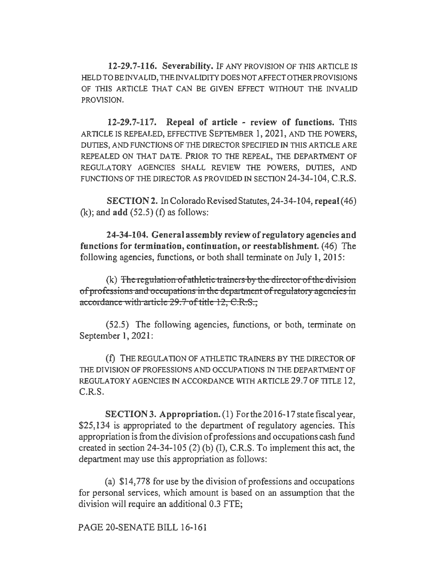12-29.7-116. Severability. IF ANY PROVISION OF THIS ARTICLE IS HELD TO BE INVALID, THE INVALIDITY DOES NOT AFFECT OTHER PROVISIONS OF THIS ARTICLE THAT CAN BE GIVEN EFFECT WITIIOUT THE INVALID PROVJSION.

12-29.7-117. Repeal of article - review of functions. THIS ARTICLE IS REPEALED, EFFECTIVE SEPTEMBER 1, 2021, AND THE POWERS, DUTIES, AND FUNCTIONS OF TIIE DIRECTOR SPECIFIED IN THIS ARTICLE ARE REPEALED ON THAT DATE. PRIOR TO THE REPEAL, THE DEPARTMENT OF REGULA TORY AGENCIES SHALL REVJEW THE POWERS, DUTIES, AND FUNCTIONS OF THE DIRECTOR AS PROVIDED IN SECTION 24-34-104, C.R.S.

SECTION 2. In Colorado Revised Statutes, 24-34-104, repeal (46)  $(k)$ ; and  $add(52.5)$  (f) as follows:

24-34-104. General assembly review of regulatory agencies and functions for termination, continuation, or reestablishment. ( 46) The following agencies, functions, or both shall terminate on July I, 2015:

(k) The regulation of athletic trainers by the director of the division ofprofcssions and occopations in the department of regulatory agencies in accordance with article 29.7 of title 12, C.R.S.,

(52.5) The following agencies, functions, or both, terminate on September 1, 2021 :

(f) THE REGULATION OF ATHLETIC TRAINERS BY THE DIRECTOR OF Tiffi DIVISION OF PROFESSIONS AND OCCUPATIONS IN THE DEPARTMENT OF REGULATORY AGENCIES IN ACCORDANCE WITH ARTICLE 29.7 OF TITLE 12, C.R.S.

SECTION 3. Appropriation. (1) For the 2016-17 state fiscal year, \$25,134 is appropriated to the department of regulatory agencies. This appropriation is from the division of professions and occupations cash fund created in section 24-34-105 (2) (b) (1), C.R.S. To implement this act, the department may use this appropriation as follows:

(a) \$14,778 for use by the division of professions and occupations for personal services, which amount is based on an assumption that the division will require an additional 0.3 FTE;

PAGE 20-SENATE BILL 16-161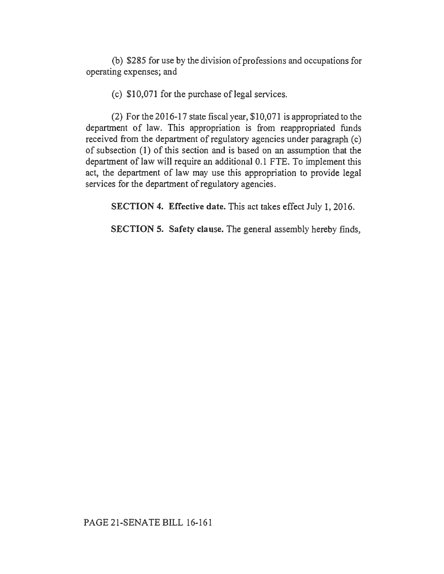(b) \$285 for use by the division of professions and occupations for operating expenses; and

 $(c)$  \$10,071 for the purchase of legal services.

(2) For the 2016-17 state fiscal year, \$10,071 is appropriated to the department of law. This appropriation is from reappropriated funds received from the department of regulatory agencies under paragraph (c) of subsection (1) of this section and is based on an assumption that the department of law will require an additional 0.1 FTE. To implement this act, the department of law may use this appropriation to provide legal services for the department of regulatory agencies.

SECTION 4. Effective date. This act takes effect July 1, 2016.

SECTION 5. Safety clause. The general assembly hereby finds,